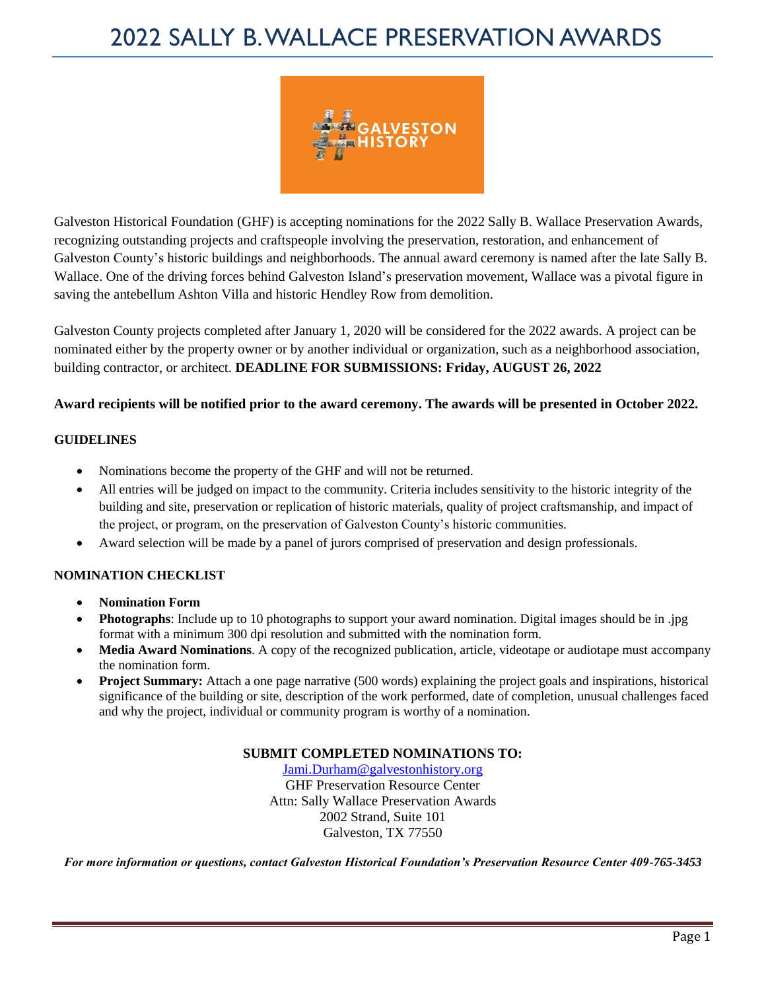# 2022 SALLY B. WALLACE PRESERVATION AWARDS



Galveston Historical Foundation (GHF) is accepting nominations for the 2022 Sally B. Wallace Preservation Awards, recognizing outstanding projects and craftspeople involving the preservation, restoration, and enhancement of Galveston County's historic buildings and neighborhoods. The annual award ceremony is named after the late Sally B. Wallace. One of the driving forces behind Galveston Island's preservation movement, Wallace was a pivotal figure in saving the antebellum Ashton Villa and historic Hendley Row from demolition.

Galveston County projects completed after January 1, 2020 will be considered for the 2022 awards. A project can be nominated either by the property owner or by another individual or organization, such as a neighborhood association, building contractor, or architect. **DEADLINE FOR SUBMISSIONS: Friday, AUGUST 26, 2022**

#### **Award recipients will be notified prior to the award ceremony. The awards will be presented in October 2022.**

#### **GUIDELINES**

- Nominations become the property of the GHF and will not be returned.
- All entries will be judged on impact to the community. Criteria includes sensitivity to the historic integrity of the building and site, preservation or replication of historic materials, quality of project craftsmanship, and impact of the project, or program, on the preservation of Galveston County's historic communities.
- Award selection will be made by a panel of jurors comprised of preservation and design professionals.

### **NOMINATION CHECKLIST**

- **Nomination Form**
- **Photographs**: Include up to 10 photographs to support your award nomination. Digital images should be in .jpg format with a minimum 300 dpi resolution and submitted with the nomination form.
- **Media Award Nominations**. A copy of the recognized publication, article, videotape or audiotape must accompany the nomination form.
- **Project Summary:** Attach a one page narrative (500 words) explaining the project goals and inspirations, historical significance of the building or site, description of the work performed, date of completion, unusual challenges faced and why the project, individual or community program is worthy of a nomination.

### **SUBMIT COMPLETED NOMINATIONS TO:**

[Jami.Durham@galvestonhistory.org](mailto:Jami.Durham@galvestonhistory.org) GHF Preservation Resource Center Attn: Sally Wallace Preservation Awards 2002 Strand, Suite 101 Galveston, TX 77550

*For more information or questions, contact Galveston Historical Foundation's Preservation Resource Center 409-765-3453*